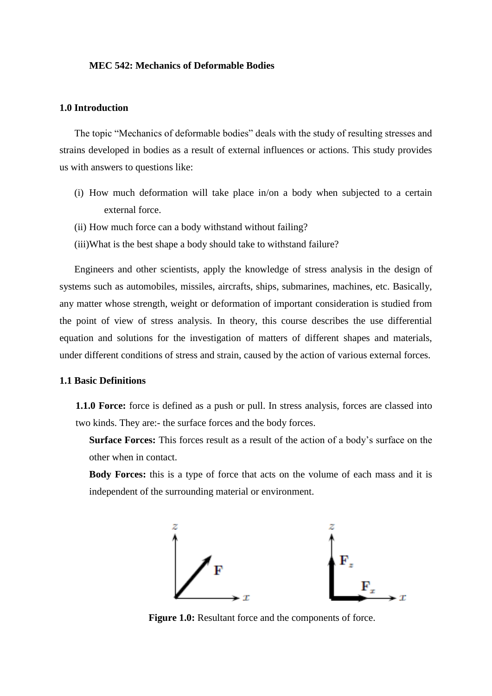#### **MEC 542: Mechanics of Deformable Bodies**

## **1.0 Introduction**

The topic "Mechanics of deformable bodies" deals with the study of resulting stresses and strains developed in bodies as a result of external influences or actions. This study provides us with answers to questions like:

- (i) How much deformation will take place in/on a body when subjected to a certain external force.
- (ii) How much force can a body withstand without failing?
- (iii)What is the best shape a body should take to withstand failure?

Engineers and other scientists, apply the knowledge of stress analysis in the design of systems such as automobiles, missiles, aircrafts, ships, submarines, machines, etc. Basically, any matter whose strength, weight or deformation of important consideration is studied from the point of view of stress analysis. In theory, this course describes the use differential equation and solutions for the investigation of matters of different shapes and materials, under different conditions of stress and strain, caused by the action of various external forces.

## **1.1 Basic Definitions**

**1.1.0 Force:** force is defined as a push or pull. In stress analysis, forces are classed into two kinds. They are:- the surface forces and the body forces.

**Surface Forces:** This forces result as a result of the action of a body's surface on the other when in contact.

**Body Forces:** this is a type of force that acts on the volume of each mass and it is independent of the surrounding material or environment.



**Figure 1.0:** Resultant force and the components of force.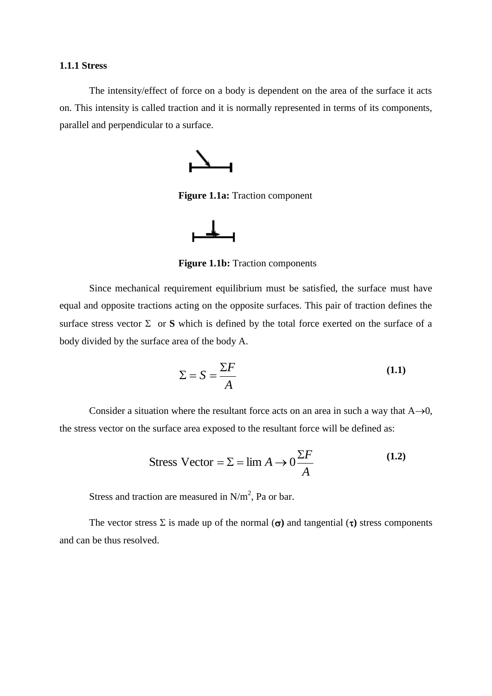### **1.1.1 Stress**

The intensity/effect of force on a body is dependent on the area of the surface it acts on. This intensity is called traction and it is normally represented in terms of its components, parallel and perpendicular to a surface.



**Figure 1.1a:** Traction component



**Figure 1.1b:** Traction components

Since mechanical requirement equilibrium must be satisfied, the surface must have equal and opposite tractions acting on the opposite surfaces. This pair of traction defines the surface stress vector  $\Sigma$  or **S** which is defined by the total force exerted on the surface of a body divided by the surface area of the body A.

$$
\Sigma = S = \frac{\Sigma F}{A}
$$
 (1.1)

Consider a situation where the resultant force acts on an area in such a way that  $A\rightarrow 0$ , the stress vector on the surface area exposed to the resultant force will be defined as:

$$
Stress Vector = \Sigma = \lim_{A \to 0} A \to 0 \frac{\Sigma F}{A}
$$
 (1.2)

Stress and traction are measured in  $N/m^2$ , Pa or bar.

The vector stress  $\Sigma$  is made up of the normal  $(\sigma)$  and tangential  $(\tau)$  stress components and can be thus resolved.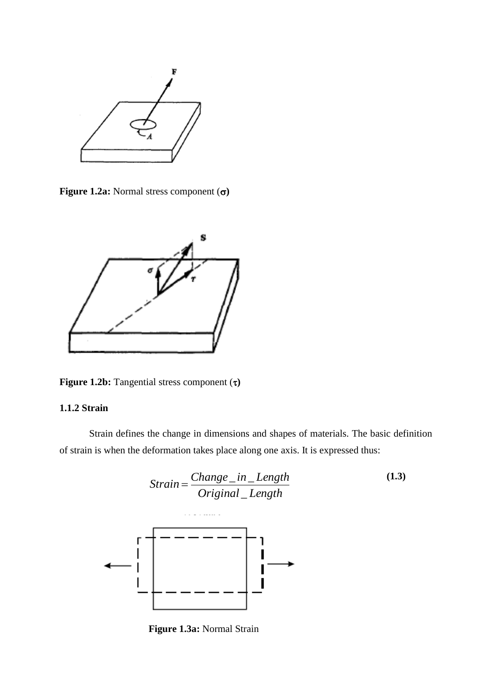

**Figure 1.2a:** Normal stress component  $(\sigma)$ 



**Figure 1.2b:** Tangential stress component  $(\tau)$ 

# **1.1.2 Strain**

Strain defines the change in dimensions and shapes of materials. The basic definition of strain is when the deformation takes place along one axis. It is expressed thus:



**Figure 1.3a:** Normal Strain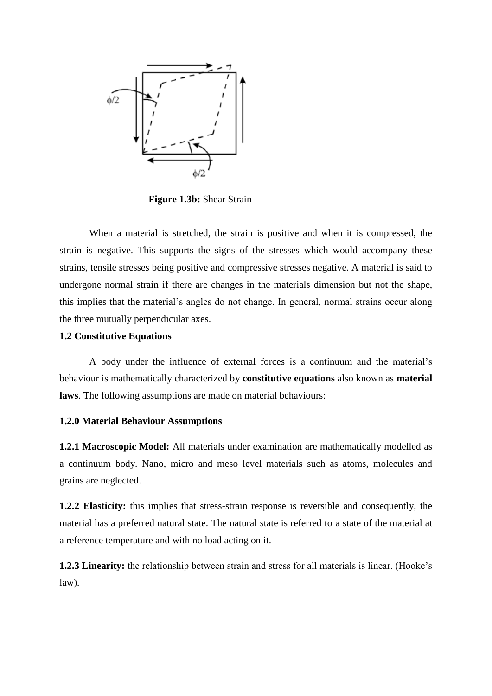

**Figure 1.3b:** Shear Strain

When a material is stretched, the strain is positive and when it is compressed, the strain is negative. This supports the signs of the stresses which would accompany these strains, tensile stresses being positive and compressive stresses negative. A material is said to undergone normal strain if there are changes in the materials dimension but not the shape, this implies that the material's angles do not change. In general, normal strains occur along the three mutually perpendicular axes.

## **1.2 Constitutive Equations**

A body under the influence of external forces is a continuum and the material's behaviour is mathematically characterized by **constitutive equations** also known as **material laws**. The following assumptions are made on material behaviours:

### **1.2.0 Material Behaviour Assumptions**

**1.2.1 Macroscopic Model:** All materials under examination are mathematically modelled as a continuum body. Nano, micro and meso level materials such as atoms, molecules and grains are neglected.

**1.2.2 Elasticity:** this implies that stress-strain response is reversible and consequently, the material has a preferred natural state. The natural state is referred to a state of the material at a reference temperature and with no load acting on it.

**1.2.3 Linearity:** the relationship between strain and stress for all materials is linear. (Hooke's law).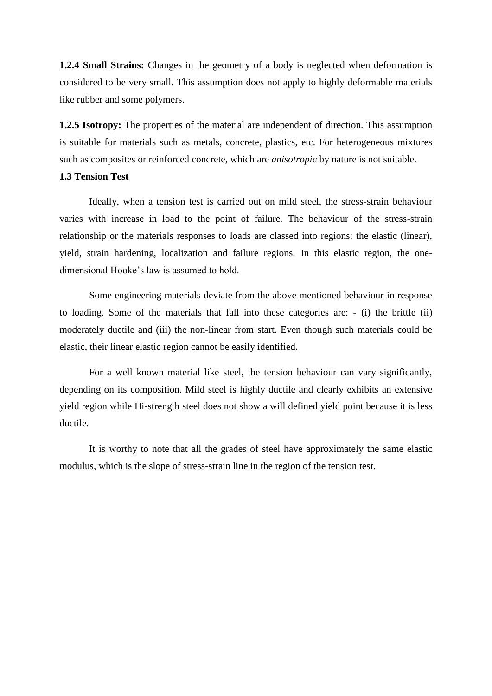**1.2.4 Small Strains:** Changes in the geometry of a body is neglected when deformation is considered to be very small. This assumption does not apply to highly deformable materials like rubber and some polymers.

**1.2.5 Isotropy:** The properties of the material are independent of direction. This assumption is suitable for materials such as metals, concrete, plastics, etc. For heterogeneous mixtures such as composites or reinforced concrete, which are *anisotropic* by nature is not suitable.

## **1.3 Tension Test**

Ideally, when a tension test is carried out on mild steel, the stress-strain behaviour varies with increase in load to the point of failure. The behaviour of the stress-strain relationship or the materials responses to loads are classed into regions: the elastic (linear), yield, strain hardening, localization and failure regions. In this elastic region, the onedimensional Hooke's law is assumed to hold.

Some engineering materials deviate from the above mentioned behaviour in response to loading. Some of the materials that fall into these categories are: - (i) the brittle (ii) moderately ductile and (iii) the non-linear from start. Even though such materials could be elastic, their linear elastic region cannot be easily identified.

For a well known material like steel, the tension behaviour can vary significantly, depending on its composition. Mild steel is highly ductile and clearly exhibits an extensive yield region while Hi-strength steel does not show a will defined yield point because it is less ductile.

It is worthy to note that all the grades of steel have approximately the same elastic modulus, which is the slope of stress-strain line in the region of the tension test.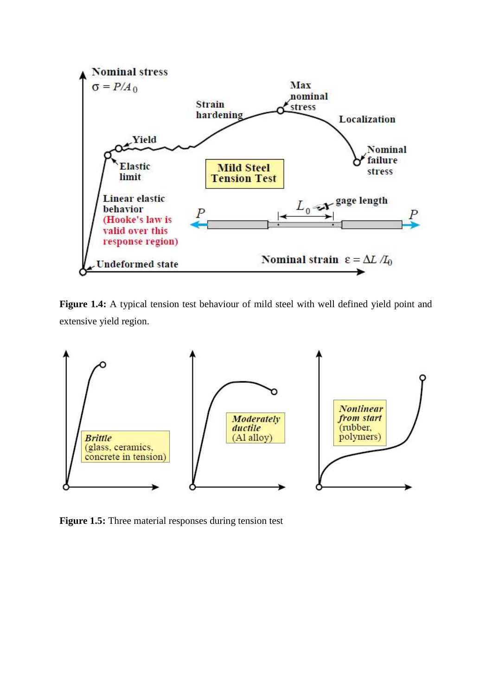

**Figure 1.4:** A typical tension test behaviour of mild steel with well defined yield point and extensive yield region.



**Figure 1.5:** Three material responses during tension test